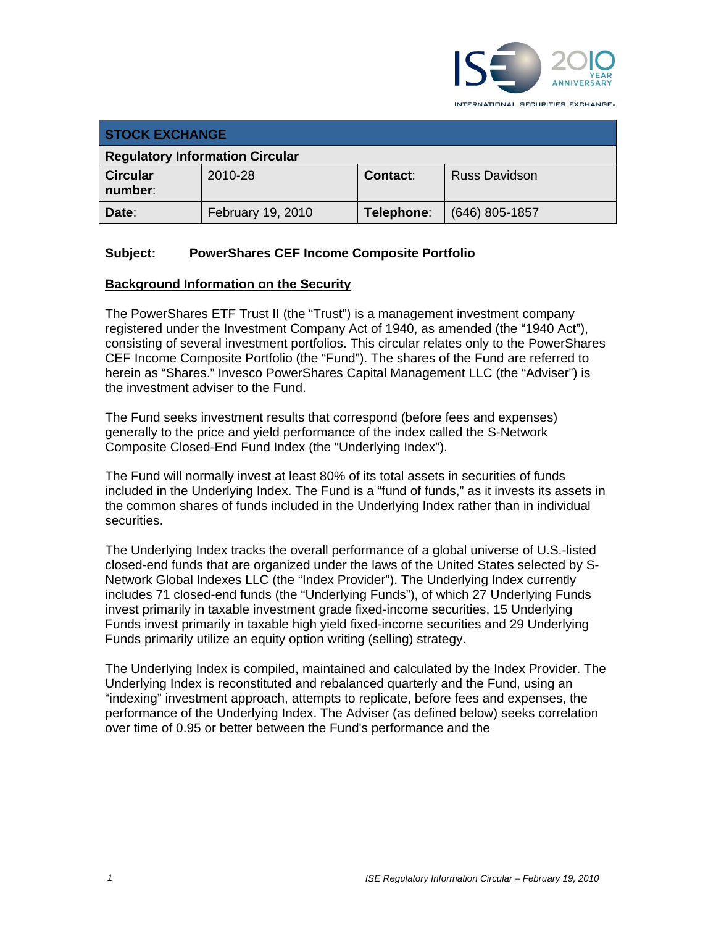

INTERNATIONAL SECURITIES EXCHANGE.

| <b>STOCK EXCHANGE</b>                  |                   |            |                      |  |  |  |
|----------------------------------------|-------------------|------------|----------------------|--|--|--|
| <b>Regulatory Information Circular</b> |                   |            |                      |  |  |  |
| <b>Circular</b><br>number:             | 2010-28           | Contact:   | <b>Russ Davidson</b> |  |  |  |
| Date:                                  | February 19, 2010 | Telephone: | $(646)$ 805-1857     |  |  |  |

# **Subject: PowerShares CEF Income Composite Portfolio**

## **Background Information on the Security**

The PowerShares ETF Trust II (the "Trust") is a management investment company registered under the Investment Company Act of 1940, as amended (the "1940 Act"), consisting of several investment portfolios. This circular relates only to the PowerShares CEF Income Composite Portfolio (the "Fund"). The shares of the Fund are referred to herein as "Shares." Invesco PowerShares Capital Management LLC (the "Adviser") is the investment adviser to the Fund.

The Fund seeks investment results that correspond (before fees and expenses) generally to the price and yield performance of the index called the S-Network Composite Closed-End Fund Index (the "Underlying Index").

The Fund will normally invest at least 80% of its total assets in securities of funds included in the Underlying Index. The Fund is a "fund of funds," as it invests its assets in the common shares of funds included in the Underlying Index rather than in individual securities.

The Underlying Index tracks the overall performance of a global universe of U.S.-listed closed-end funds that are organized under the laws of the United States selected by S-Network Global Indexes LLC (the "Index Provider"). The Underlying Index currently includes 71 closed-end funds (the "Underlying Funds"), of which 27 Underlying Funds invest primarily in taxable investment grade fixed-income securities, 15 Underlying Funds invest primarily in taxable high yield fixed-income securities and 29 Underlying Funds primarily utilize an equity option writing (selling) strategy.

The Underlying Index is compiled, maintained and calculated by the Index Provider. The Underlying Index is reconstituted and rebalanced quarterly and the Fund, using an "indexing" investment approach, attempts to replicate, before fees and expenses, the performance of the Underlying Index. The Adviser (as defined below) seeks correlation over time of 0.95 or better between the Fund's performance and the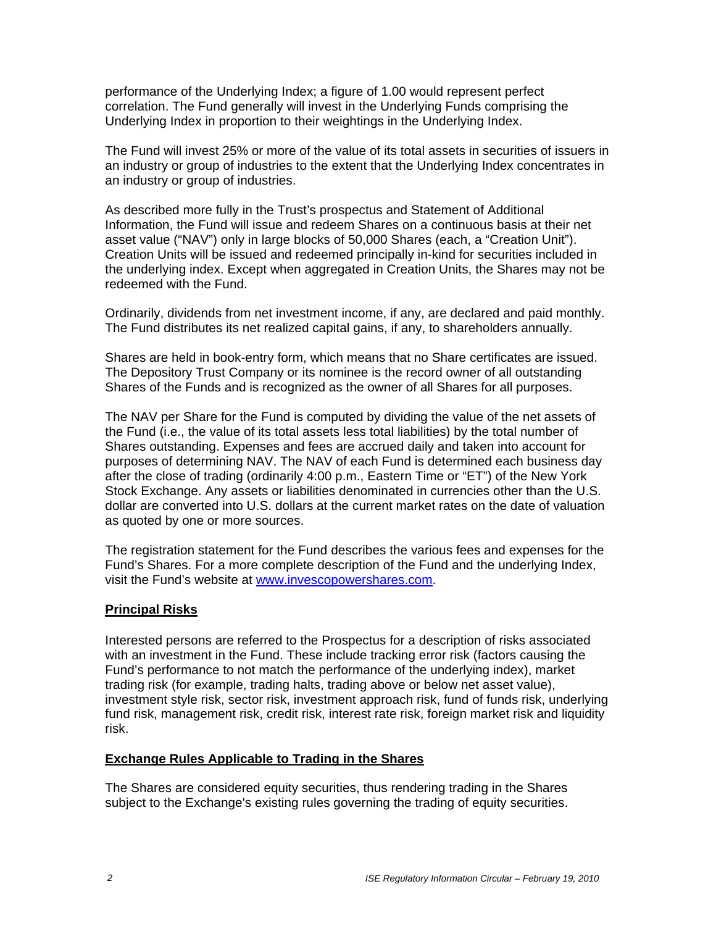performance of the Underlying Index; a figure of 1.00 would represent perfect correlation. The Fund generally will invest in the Underlying Funds comprising the Underlying Index in proportion to their weightings in the Underlying Index.

The Fund will invest 25% or more of the value of its total assets in securities of issuers in an industry or group of industries to the extent that the Underlying Index concentrates in an industry or group of industries.

As described more fully in the Trust's prospectus and Statement of Additional Information, the Fund will issue and redeem Shares on a continuous basis at their net asset value ("NAV") only in large blocks of 50,000 Shares (each, a "Creation Unit"). Creation Units will be issued and redeemed principally in-kind for securities included in the underlying index. Except when aggregated in Creation Units, the Shares may not be redeemed with the Fund.

Ordinarily, dividends from net investment income, if any, are declared and paid monthly. The Fund distributes its net realized capital gains, if any, to shareholders annually.

Shares are held in book-entry form, which means that no Share certificates are issued. The Depository Trust Company or its nominee is the record owner of all outstanding Shares of the Funds and is recognized as the owner of all Shares for all purposes.

The NAV per Share for the Fund is computed by dividing the value of the net assets of the Fund (i.e., the value of its total assets less total liabilities) by the total number of Shares outstanding. Expenses and fees are accrued daily and taken into account for purposes of determining NAV. The NAV of each Fund is determined each business day after the close of trading (ordinarily 4:00 p.m., Eastern Time or "ET") of the New York Stock Exchange. Any assets or liabilities denominated in currencies other than the U.S. dollar are converted into U.S. dollars at the current market rates on the date of valuation as quoted by one or more sources.

The registration statement for the Fund describes the various fees and expenses for the Fund's Shares. For a more complete description of the Fund and the underlying Index, visit the Fund's website at www.invescopowershares.com.

### **Principal Risks**

Interested persons are referred to the Prospectus for a description of risks associated with an investment in the Fund. These include tracking error risk (factors causing the Fund's performance to not match the performance of the underlying index), market trading risk (for example, trading halts, trading above or below net asset value), investment style risk, sector risk, investment approach risk, fund of funds risk, underlying fund risk, management risk, credit risk, interest rate risk, foreign market risk and liquidity risk.

#### **Exchange Rules Applicable to Trading in the Shares**

The Shares are considered equity securities, thus rendering trading in the Shares subject to the Exchange's existing rules governing the trading of equity securities.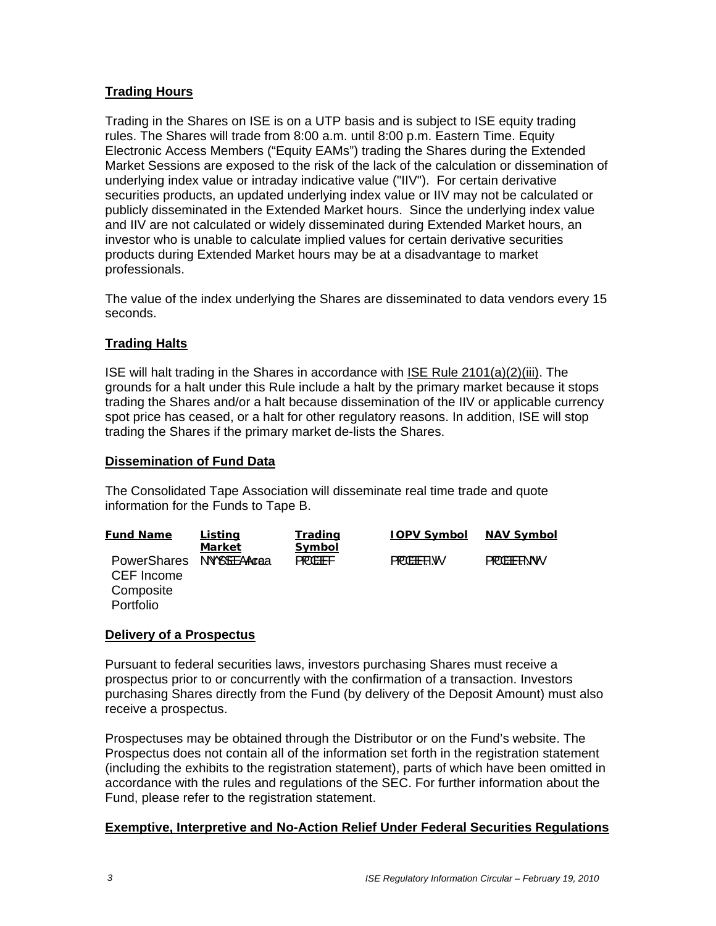## **Trading Hours**

Trading in the Shares on ISE is on a UTP basis and is subject to ISE equity trading rules. The Shares will trade from 8:00 a.m. until 8:00 p.m. Eastern Time. Equity Electronic Access Members ("Equity EAMs") trading the Shares during the Extended Market Sessions are exposed to the risk of the lack of the calculation or dissemination of underlying index value or intraday indicative value ("IIV"). For certain derivative securities products, an updated underlying index value or IIV may not be calculated or publicly disseminated in the Extended Market hours. Since the underlying index value and IIV are not calculated or widely disseminated during Extended Market hours, an investor who is unable to calculate implied values for certain derivative securities products during Extended Market hours may be at a disadvantage to market professionals.

The value of the index underlying the Shares are disseminated to data vendors every 15 seconds.

## **Trading Halts**

ISE will halt trading in the Shares in accordance with ISE Rule 2101(a)(2)(iii). The grounds for a halt under this Rule include a halt by the primary market because it stops trading the Shares and/or a halt because dissemination of the IIV or applicable currency spot price has ceased, or a halt for other regulatory reasons. In addition, ISE will stop trading the Shares if the primary market de-lists the Shares.

#### **Dissemination of Fund Data**

The Consolidated Tape Association will disseminate real time trade and quote information for the Funds to Tape B.

| <b>Fund Name</b>                                               | <u>Listing</u><br>Market | <u>Trading</u><br>Symbol | <b>IOPV Symbol</b> | <b>NAV Symbol</b> |
|----------------------------------------------------------------|--------------------------|--------------------------|--------------------|-------------------|
| PowerShares NYSSEAACaa<br>CEF Income<br>Composite<br>Portfolio |                          | PROFIEF                  | <b>PROCEET I.W</b> | <b>PROCEETANY</b> |

#### **Delivery of a Prospectus**

Pursuant to federal securities laws, investors purchasing Shares must receive a prospectus prior to or concurrently with the confirmation of a transaction. Investors purchasing Shares directly from the Fund (by delivery of the Deposit Amount) must also receive a prospectus.

Prospectuses may be obtained through the Distributor or on the Fund's website. The Prospectus does not contain all of the information set forth in the registration statement (including the exhibits to the registration statement), parts of which have been omitted in accordance with the rules and regulations of the SEC. For further information about the Fund, please refer to the registration statement.

### **Exemptive, Interpretive and No-Action Relief Under Federal Securities Regulations**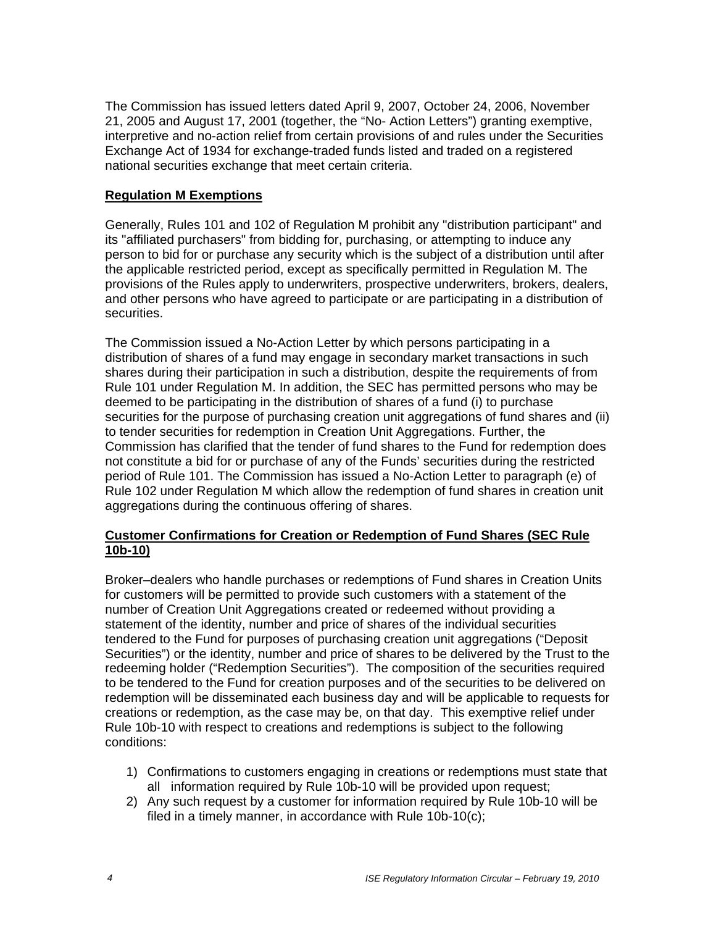The Commission has issued letters dated April 9, 2007, October 24, 2006, November 21, 2005 and August 17, 2001 (together, the "No- Action Letters") granting exemptive, interpretive and no-action relief from certain provisions of and rules under the Securities Exchange Act of 1934 for exchange-traded funds listed and traded on a registered national securities exchange that meet certain criteria.

## **Regulation M Exemptions**

Generally, Rules 101 and 102 of Regulation M prohibit any "distribution participant" and its "affiliated purchasers" from bidding for, purchasing, or attempting to induce any person to bid for or purchase any security which is the subject of a distribution until after the applicable restricted period, except as specifically permitted in Regulation M. The provisions of the Rules apply to underwriters, prospective underwriters, brokers, dealers, and other persons who have agreed to participate or are participating in a distribution of securities.

The Commission issued a No-Action Letter by which persons participating in a distribution of shares of a fund may engage in secondary market transactions in such shares during their participation in such a distribution, despite the requirements of from Rule 101 under Regulation M. In addition, the SEC has permitted persons who may be deemed to be participating in the distribution of shares of a fund (i) to purchase securities for the purpose of purchasing creation unit aggregations of fund shares and (ii) to tender securities for redemption in Creation Unit Aggregations. Further, the Commission has clarified that the tender of fund shares to the Fund for redemption does not constitute a bid for or purchase of any of the Funds' securities during the restricted period of Rule 101. The Commission has issued a No-Action Letter to paragraph (e) of Rule 102 under Regulation M which allow the redemption of fund shares in creation unit aggregations during the continuous offering of shares.

### **Customer Confirmations for Creation or Redemption of Fund Shares (SEC Rule 10b-10)**

Broker–dealers who handle purchases or redemptions of Fund shares in Creation Units for customers will be permitted to provide such customers with a statement of the number of Creation Unit Aggregations created or redeemed without providing a statement of the identity, number and price of shares of the individual securities tendered to the Fund for purposes of purchasing creation unit aggregations ("Deposit Securities") or the identity, number and price of shares to be delivered by the Trust to the redeeming holder ("Redemption Securities"). The composition of the securities required to be tendered to the Fund for creation purposes and of the securities to be delivered on redemption will be disseminated each business day and will be applicable to requests for creations or redemption, as the case may be, on that day. This exemptive relief under Rule 10b-10 with respect to creations and redemptions is subject to the following conditions:

- 1) Confirmations to customers engaging in creations or redemptions must state that all information required by Rule 10b-10 will be provided upon request;
- 2) Any such request by a customer for information required by Rule 10b-10 will be filed in a timely manner, in accordance with Rule 10b-10(c);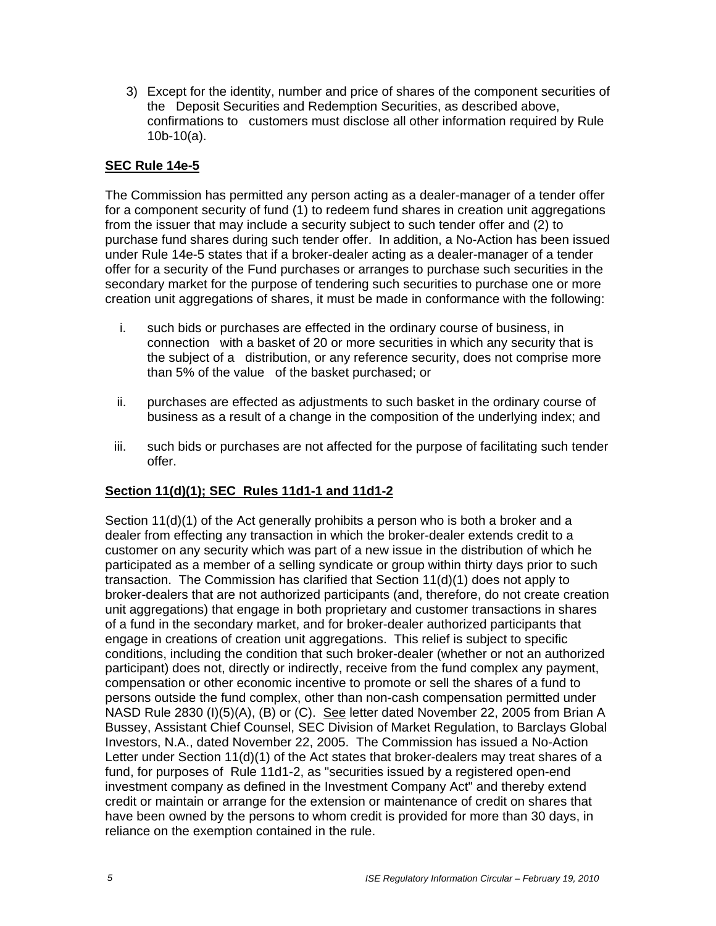3) Except for the identity, number and price of shares of the component securities of the Deposit Securities and Redemption Securities, as described above, confirmations to customers must disclose all other information required by Rule 10b-10(a).

### **SEC Rule 14e-5**

The Commission has permitted any person acting as a dealer-manager of a tender offer for a component security of fund (1) to redeem fund shares in creation unit aggregations from the issuer that may include a security subject to such tender offer and (2) to purchase fund shares during such tender offer. In addition, a No-Action has been issued under Rule 14e-5 states that if a broker-dealer acting as a dealer-manager of a tender offer for a security of the Fund purchases or arranges to purchase such securities in the secondary market for the purpose of tendering such securities to purchase one or more creation unit aggregations of shares, it must be made in conformance with the following:

- i. such bids or purchases are effected in the ordinary course of business, in connection with a basket of 20 or more securities in which any security that is the subject of a distribution, or any reference security, does not comprise more than 5% of the value of the basket purchased; or
- ii. purchases are effected as adjustments to such basket in the ordinary course of business as a result of a change in the composition of the underlying index; and
- iii. such bids or purchases are not affected for the purpose of facilitating such tender offer.

# **Section 11(d)(1); SEC Rules 11d1-1 and 11d1-2**

Section 11(d)(1) of the Act generally prohibits a person who is both a broker and a dealer from effecting any transaction in which the broker-dealer extends credit to a customer on any security which was part of a new issue in the distribution of which he participated as a member of a selling syndicate or group within thirty days prior to such transaction. The Commission has clarified that Section 11(d)(1) does not apply to broker-dealers that are not authorized participants (and, therefore, do not create creation unit aggregations) that engage in both proprietary and customer transactions in shares of a fund in the secondary market, and for broker-dealer authorized participants that engage in creations of creation unit aggregations. This relief is subject to specific conditions, including the condition that such broker-dealer (whether or not an authorized participant) does not, directly or indirectly, receive from the fund complex any payment, compensation or other economic incentive to promote or sell the shares of a fund to persons outside the fund complex, other than non-cash compensation permitted under NASD Rule 2830 (I)(5)(A), (B) or (C). See letter dated November 22, 2005 from Brian A Bussey, Assistant Chief Counsel, SEC Division of Market Regulation, to Barclays Global Investors, N.A., dated November 22, 2005. The Commission has issued a No-Action Letter under Section 11(d)(1) of the Act states that broker-dealers may treat shares of a fund, for purposes of Rule 11d1-2, as "securities issued by a registered open-end investment company as defined in the Investment Company Act" and thereby extend credit or maintain or arrange for the extension or maintenance of credit on shares that have been owned by the persons to whom credit is provided for more than 30 days, in reliance on the exemption contained in the rule.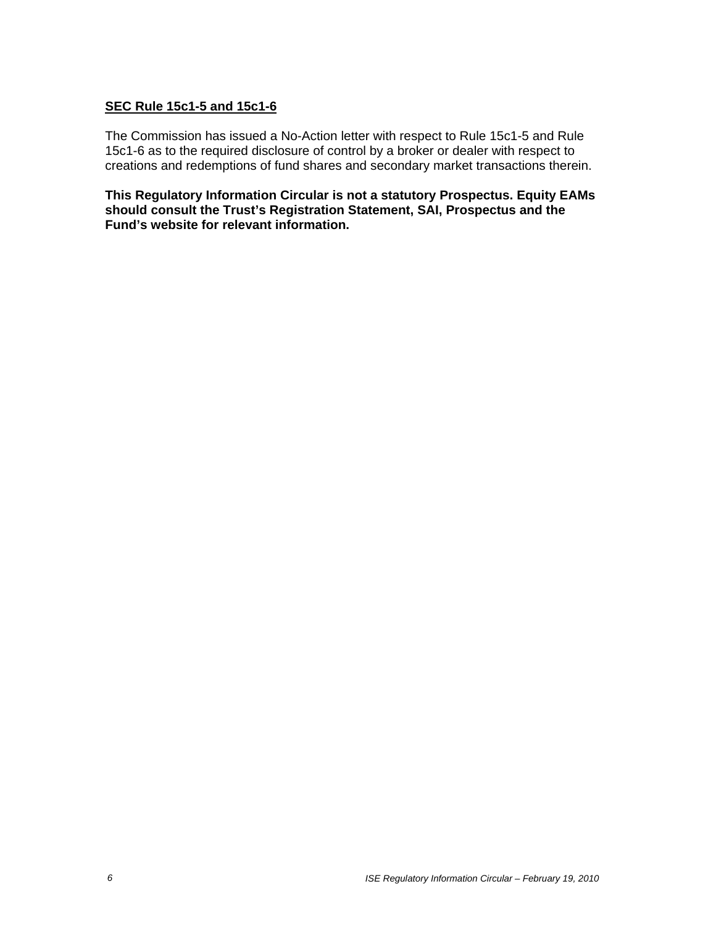#### **SEC Rule 15c1-5 and 15c1-6**

The Commission has issued a No-Action letter with respect to Rule 15c1-5 and Rule 15c1-6 as to the required disclosure of control by a broker or dealer with respect to creations and redemptions of fund shares and secondary market transactions therein.

**This Regulatory Information Circular is not a statutory Prospectus. Equity EAMs should consult the Trust's Registration Statement, SAI, Prospectus and the Fund's website for relevant information.**